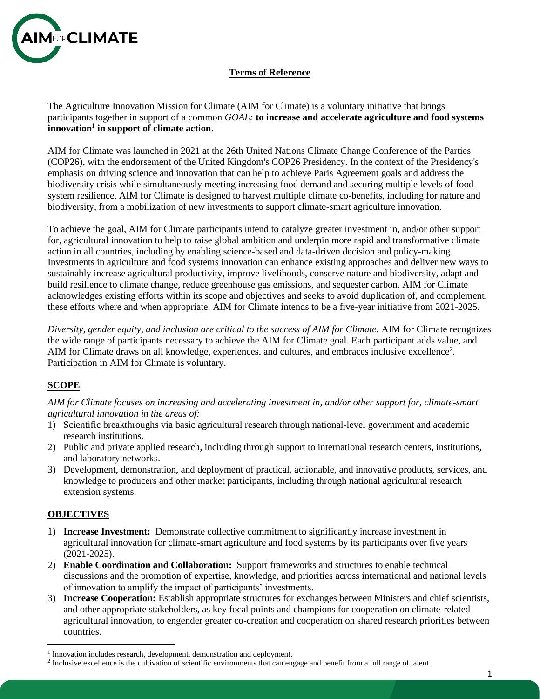

## **Terms of Reference**

The Agriculture Innovation Mission for Climate (AIM for Climate) is a voluntary initiative that brings participants together in support of a common *GOAL:* **to increase and accelerate agriculture and food systems innovation<sup>1</sup> in support of climate action**.

AIM for Climate was launched in 2021 at the 26th United Nations Climate Change Conference of the Parties (COP26), with the endorsement of the United Kingdom's COP26 Presidency. In the context of the Presidency's emphasis on driving science and innovation that can help to achieve Paris Agreement goals and address the biodiversity crisis while simultaneously meeting increasing food demand and securing multiple levels of food system resilience, AIM for Climate is designed to harvest multiple climate co-benefits, including for nature and biodiversity, from a mobilization of new investments to support climate-smart agriculture innovation.

To achieve the goal, AIM for Climate participants intend to catalyze greater investment in, and/or other support for, agricultural innovation to help to raise global ambition and underpin more rapid and transformative climate action in all countries, including by enabling science-based and data-driven decision and policy-making. Investments in agriculture and food systems innovation can enhance existing approaches and deliver new ways to sustainably increase agricultural productivity, improve livelihoods, conserve nature and biodiversity, adapt and build resilience to climate change, reduce greenhouse gas emissions, and sequester carbon. AIM for Climate acknowledges existing efforts within its scope and objectives and seeks to avoid duplication of, and complement, these efforts where and when appropriate. AIM for Climate intends to be a five-year initiative from 2021-2025.

*Diversity, gender equity, and inclusion are critical to the success of AIM for Climate.* AIM for Climate recognizes the wide range of participants necessary to achieve the AIM for Climate goal. Each participant adds value, and AIM for Climate draws on all knowledge, experiences, and cultures, and embraces inclusive excellence<sup>2</sup>. Participation in AIM for Climate is voluntary.

## **SCOPE**

*AIM for Climate focuses on increasing and accelerating investment in, and/or other support for, climate-smart agricultural innovation in the areas of:*

- 1) Scientific breakthroughs via basic agricultural research through national-level government and academic research institutions.
- 2) Public and private applied research, including through support to international research centers, institutions, and laboratory networks.
- 3) Development, demonstration, and deployment of practical, actionable, and innovative products, services, and knowledge to producers and other market participants, including through national agricultural research extension systems.

### **OBJECTIVES**

- 1) **Increase Investment:** Demonstrate collective commitment to significantly increase investment in agricultural innovation for climate-smart agriculture and food systems by its participants over five years (2021-2025).
- 2) **Enable Coordination and Collaboration:** Support frameworks and structures to enable technical discussions and the promotion of expertise, knowledge, and priorities across international and national levels of innovation to amplify the impact of participants' investments.
- 3) **Increase Cooperation:** Establish appropriate structures for exchanges between Ministers and chief scientists, and other appropriate stakeholders, as key focal points and champions for cooperation on climate-related agricultural innovation, to engender greater co-creation and cooperation on shared research priorities between countries.

<sup>&</sup>lt;sup>1</sup> Innovation includes research, development, demonstration and deployment.

<sup>&</sup>lt;sup>2</sup> Inclusive excellence is the cultivation of scientific environments that can engage and benefit from a full range of talent.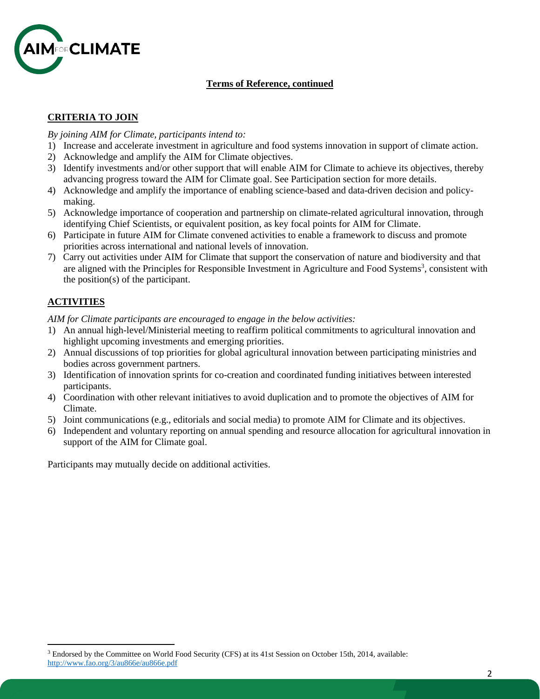

### **Terms of Reference, continued**

# **CRITERIA TO JOIN**

*By joining AIM for Climate, participants intend to:*

- 1) Increase and accelerate investment in agriculture and food systems innovation in support of climate action.
- 2) Acknowledge and amplify the AIM for Climate objectives.
- 3) Identify investments and/or other support that will enable AIM for Climate to achieve its objectives, thereby advancing progress toward the AIM for Climate goal. See Participation section for more details.
- 4) Acknowledge and amplify the importance of enabling science-based and data-driven decision and policymaking.
- 5) Acknowledge importance of cooperation and partnership on climate-related agricultural innovation, through identifying Chief Scientists, or equivalent position, as key focal points for AIM for Climate.
- 6) Participate in future AIM for Climate convened activities to enable a framework to discuss and promote priorities across international and national levels of innovation.
- 7) Carry out activities under AIM for Climate that support the conservation of nature and biodiversity and that are aligned with the Principles for Responsible Investment in Agriculture and Food Systems<sup>3</sup>, consistent with the position(s) of the participant.

# **ACTIVITIES**

*AIM for Climate participants are encouraged to engage in the below activities:*

- 1) An annual high-level/Ministerial meeting to reaffirm political commitments to agricultural innovation and highlight upcoming investments and emerging priorities.
- 2) Annual discussions of top priorities for global agricultural innovation between participating ministries and bodies across government partners.
- 3) Identification of innovation sprints for co-creation and coordinated funding initiatives between interested participants.
- 4) Coordination with other relevant initiatives to avoid duplication and to promote the objectives of AIM for Climate.
- 5) Joint communications (e.g., editorials and social media) to promote AIM for Climate and its objectives.
- 6) Independent and voluntary reporting on annual spending and resource allocation for agricultural innovation in support of the AIM for Climate goal.

Participants may mutually decide on additional activities.

<sup>3</sup> Endorsed by the Committee on World Food Security (CFS) at its 41st Session on October 15th, 2014, available: <http://www.fao.org/3/au866e/au866e.pdf>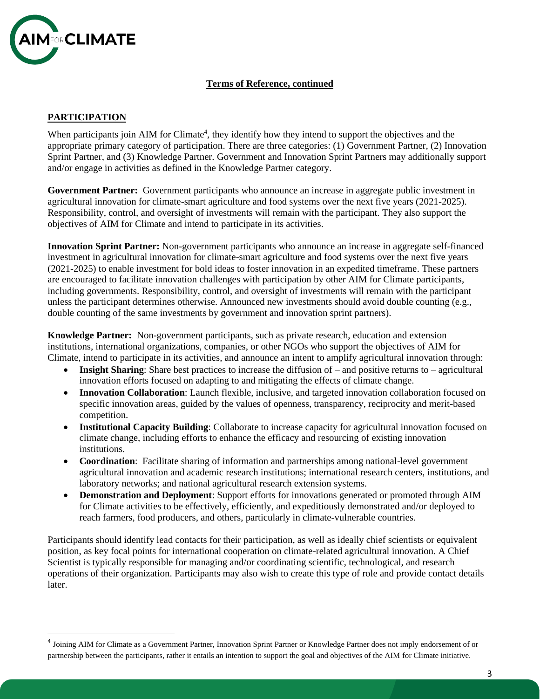

#### **Terms of Reference, continued**

### **PARTICIPATION**

When participants join AIM for Climate<sup>4</sup>, they identify how they intend to support the objectives and the appropriate primary category of participation. There are three categories: (1) Government Partner, (2) Innovation Sprint Partner, and (3) Knowledge Partner. Government and Innovation Sprint Partners may additionally support and/or engage in activities as defined in the Knowledge Partner category.

**Government Partner:** Government participants who announce an increase in aggregate public investment in agricultural innovation for climate-smart agriculture and food systems over the next five years (2021-2025). Responsibility, control, and oversight of investments will remain with the participant. They also support the objectives of AIM for Climate and intend to participate in its activities.

**Innovation Sprint Partner:** Non-government participants who announce an increase in aggregate self-financed investment in agricultural innovation for climate-smart agriculture and food systems over the next five years (2021-2025) to enable investment for bold ideas to foster innovation in an expedited timeframe. These partners are encouraged to facilitate innovation challenges with participation by other AIM for Climate participants, including governments. Responsibility, control, and oversight of investments will remain with the participant unless the participant determines otherwise. Announced new investments should avoid double counting (e.g., double counting of the same investments by government and innovation sprint partners).

**Knowledge Partner:** Non-government participants, such as private research, education and extension institutions, international organizations, companies, or other NGOs who support the objectives of AIM for Climate, intend to participate in its activities, and announce an intent to amplify agricultural innovation through:

- **Insight Sharing**: Share best practices to increase the diffusion of and positive returns to agricultural innovation efforts focused on adapting to and mitigating the effects of climate change.
- **Innovation Collaboration**: Launch flexible, inclusive, and targeted innovation collaboration focused on specific innovation areas, guided by the values of openness, transparency, reciprocity and merit-based competition.
- **Institutional Capacity Building**: Collaborate to increase capacity for agricultural innovation focused on climate change, including efforts to enhance the efficacy and resourcing of existing innovation institutions.
- **Coordination**: Facilitate sharing of information and partnerships among national-level government agricultural innovation and academic research institutions; international research centers, institutions, and laboratory networks; and national agricultural research extension systems.
- **Demonstration and Deployment**: Support efforts for innovations generated or promoted through AIM for Climate activities to be effectively, efficiently, and expeditiously demonstrated and/or deployed to reach farmers, food producers, and others, particularly in climate-vulnerable countries.

Participants should identify lead contacts for their participation, as well as ideally chief scientists or equivalent position, as key focal points for international cooperation on climate-related agricultural innovation. A Chief Scientist is typically responsible for managing and/or coordinating scientific, technological, and research operations of their organization. Participants may also wish to create this type of role and provide contact details later.

<sup>&</sup>lt;sup>4</sup> Joining AIM for Climate as a Government Partner, Innovation Sprint Partner or Knowledge Partner does not imply endorsement of or partnership between the participants, rather it entails an intention to support the goal and objectives of the AIM for Climate initiative.